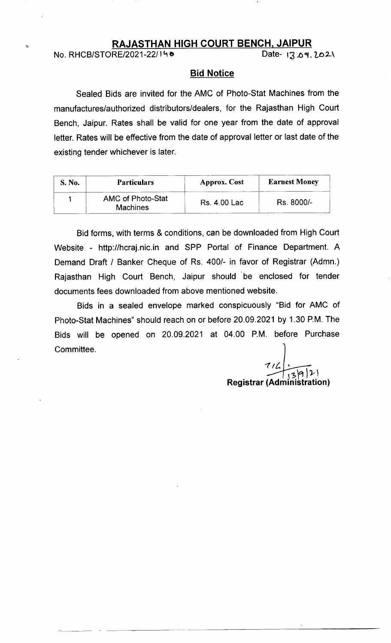## RAJASTHAN HIGH COURT BENCH, JAIPUR

No. RHCB/STORE/2021-22/140 Date- t3.o9.202\

### **Bid Notice**

Sealed Bids are invited for the AMC of Photo-Stat Machines from the manufactures/authorized distributors/dealers, for the Rajasthan High Court Bench, Jaipur. Rates shall be valid for one year from the date of approval letter. Rates will be effective from the date of approval letter or last date of the existing tender whichever is later.

| S. No. | <b>Particulars</b>                   | <b>Approx.</b> Cost | <b>Earnest Money</b> |
|--------|--------------------------------------|---------------------|----------------------|
|        | AMC of Photo-Stat<br><b>Machines</b> | Rs. 4.00 Lac        | Rs. 8000/-           |

Bid forms, with terms & conditions, can be downloaded from High Court Website - http://hcraj.nic.in and SPP Portal of Finance Department. <sup>A</sup> Demand Draft / Banker Cheque of Rs. 400/- in favor of Registrar (Admn.) Rajasthan High Court Bench, Jaipur should be enclosed for tender documents fees downloaded from above mentioned website.

Bids in a sealed envelope marked conspicuously "Bid for AMC of Photo-Stat Machines" should reach on or before 20.09.2021 by 1.30 P.M. The Bids will be opened on 20.09.2021 at 04.00 P.M. before Purchase Committee.

 $71$ Registrar (Administrati Stration) t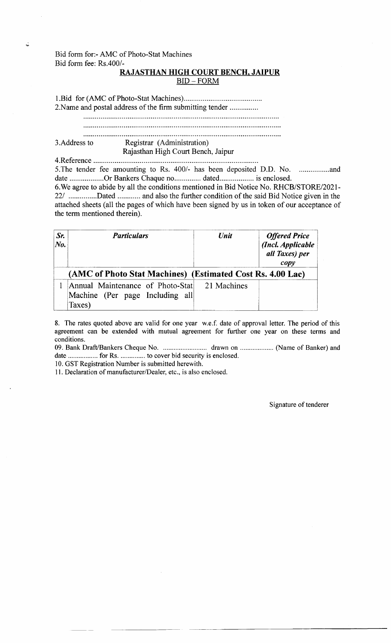## Bid form for:- AMC of Photo-Stat Machines Bid form fee: Rs.400/-

## RAJASTHAN HIGH COURT BENCH. JAIPUR  $BID - FORM$

1.Bid for (AMC of Photo-Stat Machines)............. 2.Name and postal address of the firm submitting tender

### 3.Address to Registrar (Administration) Rajasthan High Court Bench, Jaipur

4.Reference ...............

5.The tender fee amounting to Rs. 400/- has been deposited D.D. No. ................anddate ..................Or Bankers Chaque no.............. dated......... is enclosed.

6.We agree to abide by all the conditions mentioned in Bid Notice No. RHCB/STORE/2021- 22/ ...............Dated ............ and also the further condition of the said Bid Notice given in the attached sheets (a11 the pages of which have been signed by us in token of our acceptance of the term mentioned therein).

| Sr.<br>$N_o$ . | <b>Particulars</b>                                                                        | Unit | <b>Offered Price</b><br>(Incl. Applicable<br>all Taxes) per<br>$\mathit{copy}$ |
|----------------|-------------------------------------------------------------------------------------------|------|--------------------------------------------------------------------------------|
|                | (AMC of Photo Stat Machines) (Estimated Cost Rs. 4.00 Lac)                                |      |                                                                                |
|                | Annual Maintenance of Photo-Stat 21 Machines<br>Machine (Per page Including all<br>Taxes) |      |                                                                                |

8. The rates quoted above are valid for one year w.e.f. date of approval letter. The period of this agreement can be extended with mutual agreement for further one year on these terms and conditions.

09. Bank Draft/Bankers Cheque No. ............................. drawn on ..................... (Name of Banker) and date ................. for Rs. .............. to cover bid security is enclosed.

10. GST Registration Number is submitted herewith.

11. Declaration of manufacturer/Dealer, etc., is also enclosed.

Signature of tenderer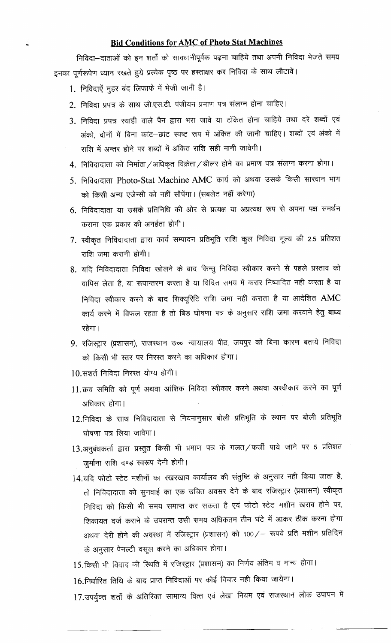## **Bid Conditions for AMC of Photo Stat Machines**

निविदा-दाताओं को इन शर्तों को सावधानीपूर्वक पढ़ना चाहिये तथा अपनी निविदा भेजते समय इनका पूर्णरूपेण ध्यान रखते हुये प्रत्येक पृष्ठ पर हस्ताक्षर कर निविदा के साथ लौटावें।

1. निविदाऐं मुहर बंद लिफाफे में भेजी जानी है।

Ċ.

- 2. निविदा प्रपत्र के साथ जी.एस.टी. पंजीयन प्रमाण पत्र संलग्न होना चाहिए।
- 3. निविदा प्रपत्र स्याही वाले पैन द्वारा भरा जावे या टंकित होना चाहिये तथा दरें शब्दों एवं अंको, दोनों में बिना कांट–छांट स्पष्ट रूप में अंकित की जानी चाहिए। शब्दों एवं अंको में राशि में अन्तर होने पर शब्दों में अंकित राशि सही मानी जावेगी।
- 4. निविदादाता को निर्माता/अधिकृत विक्रेता/डीलर होने का प्रमाण पत्र संलग्न करना होगा।
- 5. निविदादाता Photo-Stat Machine AMC कार्य को अथवा उसके किसी सारवान भाग को किसी अन्य एजेन्सी को नहीं सौपेंगा। (सबलेट नहीं करेगा)
- 6. निविदादाता या उसके प्रतिनिधि की ओर से प्रत्यक्ष या अप्रत्यक्ष रूप से अपना पक्ष समर्थन कराना एक प्रकार की अनर्हता होगी।
- 7. स्वीकृत निविदादाता द्वारा कार्य सम्पादन प्रतिभूति राशि कुल निविदा मूल्य की 2.5 प्रतिशत राशि जमा करानी होगी।
- 8. यदि निविदादाता निविदा खोलने के बाद किन्तु निविदा स्वीकार करने से पहले प्रस्ताव को वापिस लेता है, या रूपान्तरण करता है या विदित समय में करार निष्पादित नही करता है या निविदा स्वीकार करने के बाद सिक्यूरिटि राशि जमा नहीं कराता है या आदेशित AMC कार्य करने में विफल रहता है तो बिड घोषणा पत्र के अनुसार राशि जमा करवाने हेतु बाध्य रहेगा।
- 9. रजिस्ट्रार (प्रशासन), राजस्थान उच्च न्यायालय पीठ, जयपुर को बिना कारण बताये निविदा को किसी भी स्तर पर निरस्त करने का अधिकार होगा।
- 10.सशर्त निविदा निरस्त योग्य होगी।
- 11.क्रय समिति को पूर्ण अथवा आंशिक निविदा स्वीकार करने अथवा अस्वीकार करने का पूर्ण अधिकार होगा।
- 12.निविदा के साथ निविदादाता से नियमानुसार बोली प्रतिभूति के स्थान पर बोली प्रतिभूति घोषणा पत्र लिया जावेगा।
- 13.अनुबंधकर्ता द्वारा प्रस्तुत किसी भी प्रमाण पत्र के गलत/फर्जी पाये जाने पर 5 प्रतिशत जुर्माना राशि दण्ड़ स्वरूप देनी होगी।
- 14.यदि फोटो स्टेट मशीनों का रखरखाव कार्यालय की संतुष्टि के अनुसार नही किया जाता है, तो निविदादाता को सुनवाई का एक उचित अवसर देने के बाद रजिस्ट्रार (प्रशासन) स्वीकृत निविदा को किसी भी समय समाप्त कर सकता है एवं फोटो स्टेट मशीन खराब होने पर, शिकायत दर्ज कराने के उपरान्त उसी समय अधिकतम तीन घंटे में आकर ठीक करना होगा अथवा देरी होने की अवस्था में रजिस्ट्रार (प्रशासन) को 100/ रूपये प्रति मशीन प्रतिदिन के अनुसार पेनल्टी वसूल करने का अधिकार होगा।
- 15.किसी भी विवाद की स्थिति में रजिस्ट्रार (प्रशासन) का निर्णय अंतिम व मान्य होगा।
- 16.निर्धारित तिथि के बाद प्राप्त निविदाओं पर कोई विचार नही किया जायेगा।

17.उपर्युक्त शर्तों के अतिरिक्त सामान्य वित्त एवं लेखा नियम एवं राजस्थान लोक उपापन में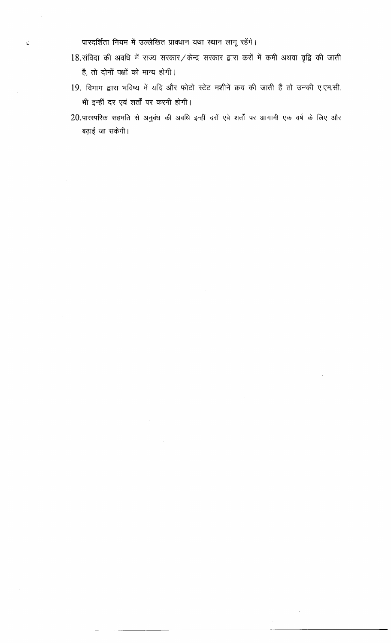पारदर्शिता नियम में उल्लेखित प्रावधान यथा स्थान लागू रहेंगे।

 $\zeta$ 

- $18.$ संविदा की अवधि में राज्य सरकार/केन्द्र सरकार द्वारा करों में कमी अथवा वृद्वि की जाती है, तो दोनों पक्षों को मान्य होगी।
- 19. विभाग द्वारा भविष्य में यदि और फोटो स्टेट मशीनें क्रय की जाती हैं तो उनकी ए.एम.सी. भी इन्हीं दर एवं शर्तों पर करनी होगी।
- 20.पारस्परिक सहमति से अनुबंध की अवधि इन्हीं दरों एवे शर्तों पर आगामी एक वर्ष के लिए और बढ़ाई जा सकेगी।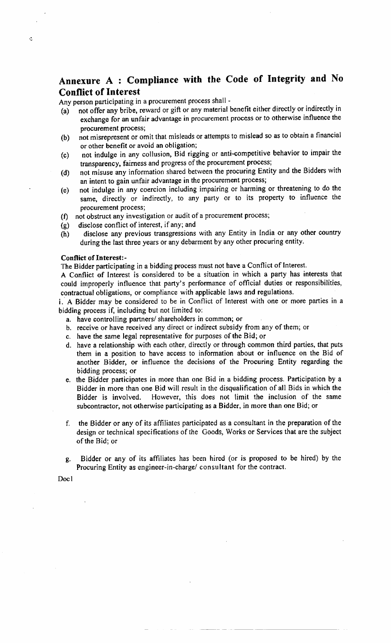## Annexure A : Compliance with the Code of Integrity and No Conflict of Interest

Any person participating in a procurement process shall -

- (a) not offer any bribe, reward or gift or any material benefit either directly or indirectly in exchange for an unfair advantage in procurement process or to otherwise influence the
- procurement process;<br>(b) not misrepresent or omit that misleads or attempts to mislead so as to obtain a financial or other benefit or avoid an obligation;
- (c) not indulge in any collusion, Bid rigging or anti-competitive behavior to impair the transparency, fairness and progress of the procurement process;
- (d) not misuse any information shared between the procuring Entity and the Bidders with an intent to gain unfair advantage in the procurement process;
- (e) not indulge in any coercion inctuding impairing or harming or threatening to do the same, directly or indirectly, to any party or to its property to influence the procurement process;
- (f) not obstruct any investigation or audit of a procurement process;
- (g) disclose conflict of interest, if any; and
- (h) disclose any previous transgressions with any Entity in India or any other country during the last three years or any debarment by any other procuring entity.

#### Conflict of Interest:-

ė

The Bidder participating in a bidding process must not have a Conflict of Interest.

A Conflict of Interest is considered to be a situation in which a party has interests that could improperly influence that party's performance of official duties or responsibilities, contractual obligations, or compliance with applicable laws and regulations.

i. A Bidder may be considered to be in Conflict of Interest with one or more parties in a bidding process if, including but not limited to:

- a. have controlling partners/ shareholders in common; or
- b. receive or have received any direct or indirect subsidy from any of them; or
- c. have the same legal representative for purposes of the Bid; or
- d. have a relationship with each other, directly or through common third parties, that puts them in a position to have access to information about or influence on the Bid of another Bidder, or influence the decisions of the Procuring Entity regarding the bidding process; or
- e. the Bidder panicipates in more than one Bid in a bidding process. Participation by <sup>a</sup> Bidder in more than one Bid will result in the disqualification of all Bids in which the Bidder is involved. However, this does not limit the inclusion of the same subcontractor, not otherwise participating as a Bidder, in more than one Bid; or
- f, the Bidder or any of its affiliates participated as a consultant in the preparation of the design or technical specifications of the Coods, Works or Services that are the subject of the Bid; or
- g. Bidder or any of its affiliates has been hired (or is proposed to be hired) by the Procuring Entity as engineer-in-charge/ consultant for the contract,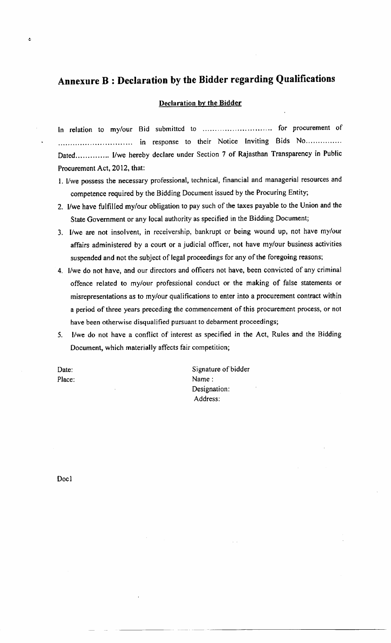# Annexure B : Declaration by the Bidder regarding Qualifications

#### Declaration by the Bidder

In relation to my/our Bid submitted to .............................. for procurement of ,.,"0 . ,;" ;"J, ::'#::,::, :H"..;:TJ::lf ':fi.)"",,, .,0,\* Procurement Act, 2012, that:

- L l/we possess the necessary professional, technical, financial and managerial resources and competence required by the Bidding Document issued by the Procuring Entity;
- 2. llwe have fulfilled my/our obligation to pay such of the taxes payable to the Union and the State Government or any local authority as specified in the Bidding Document;
- 3, I/we are not insolvent, in receivership, bankrupt or being wound up, not have my/our affairs administered by a court or a judicial officer, not have my/our business activities suspended and not the subject of legal proceedings for any of the foregoing reasons;
- 4. I/we do not have, and our directors and officers not have, been convicted of any criminal offence related to my/our professional conduct or the making of false statements or misrepresentations as to my/our qualifications to enter into a procurement contract within a period of three years preceding the commencement of this procurement process, or not have been otherwise disqualified pursuant to debarment proceedings;
- 5. l/we do not have a conflict of interest as specified in the Act, Rules and the Bidding Document, which materially affects fair competition;

Date: Place:

 $\ddot{\bullet}$ 

Signature of bidder Name: Designation: Address: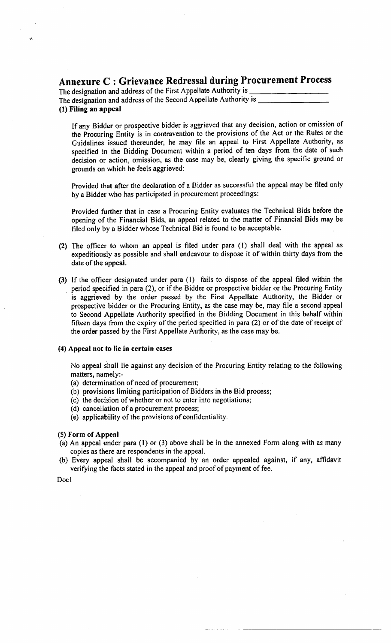## Annexure C : Grievance Redressal during Procurement Process

The designation and address of the First Appellate Authority is The designation and address of the Second Appellate Authority is

(l) Filing an eppeal

If any Bidder or prospective bidder is aggrieved that any decision, action or omission of the Procuring Entity is in contravention to the provisions of the Act or the Rules or the Cuidelines issued thereunder, he may file an appeal to First Appellate Authority, as specified in the Bidding Document within a period of ten days from the date of such decision or action, omission, as the case may be, clearly giving the specific ground or grounds on which he feels aggrieved:

Provided that after the declaration of a Bidder as successful the appeal may be filed only by a Bidder who has participated in procurement proceedings:

Provided further that in case a Procuring Entity evaluates the Technical Bids before the opening of the Financial Bids, an appeal related to the matter of Financial Bids may be filed only by a Bidder whose Technical Bid is found to be acceptable.

- (2) The officer to whom an appeal is filed under para (l) shall deal with the appeal as expeditiously as possible and shall endeavour to dispose it of within thirty days from the date of the appeal.
- (3) If the officer designated under para (l) fails to dispose of the appeal filed within the period specified in para (2), or if the Bidder or prospective bidder or the Procuring Entity is aggrieved by the order passed by the First Appellate Authority, the Bidder or prospective bidder or the Procuring Entity, as the case may be, may file a second appeal to Second Appellate Authority specified in the Bidding Document in this behalf within fifteen days from the expiry of the period specified in para (2) or of the date of receipt of the order passed by the First Appellate Authority, as the case may be.

#### (4) Appeal not to lie in certain cases

No appeal shall lie against any decision of the Procuring Entity relating to the following matters, namely:-

- (a) determination of need of procurement;
- (b) provisions limiting participation of Bidders in the Bid process;
- (c) the decision of whether or not to enter into negotiations;
- (d) cancellation of a procurement process;
- (e) applicability of the provisions of confidentiality.

#### (5) Form of Appeal

- (a) An appeal under para (l) or (3) above shall be in the annexed Form along with as many copies as there are respondents in the appeal.
- (b) Every appeal shall be accompanied by an order appealed against, if any, affidavit verifying the facts stated in the appeal and proof of payment of fee.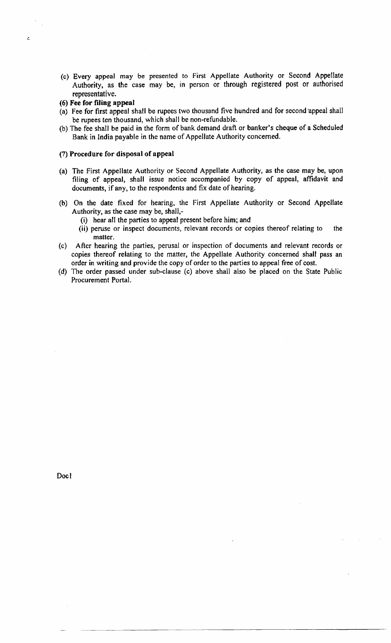- (c) Every appeal may be presented to First Appellate Authority or Second Appellate Authority, as the case may be, in person or through registered post or authorised representative.
- (6) Fee for filing appeal

ć,

- (a) Fee for frrst appeal shall be rupees two thousand five hundred and for second'appeal shall be rupees ten thousand, which shall be non-refundable.
- (b) The fee shall be paid in the form of bank demand draft or banker's cheque of a Scheduled Bank in lndia payable in the name of Appellate Authority concerned.

#### (7) Procedure for disposal of appeal

- (a) The First Appellate Authority or Second Appellate Authority, as the case may be, upon filing of appeal, shall issue notice accompanied by copy of appeal, affidavit and documents, if any, to the respondents and fix date of hearing.
- (b) On the date fixed for hearing, the First Appellate Authority or Second Appellate Authority, as the case may be, shall,-
	- (i) hear all the parties to appeal present before him; and
	- (ii) peruse or inspect documents, relevant records or copies thereof relating to the matter.
- (c) After hearing the parties, perusal or inspection of documents and relevant records or copies thereof relating to the matter, the Appellate Authority concerned shall pass an order in writing and provide the copy of order to the parties to appeal free of cost.
- (d) The order passed under sub-clause (c) above shall also be placed on the State Public Procurement Portal.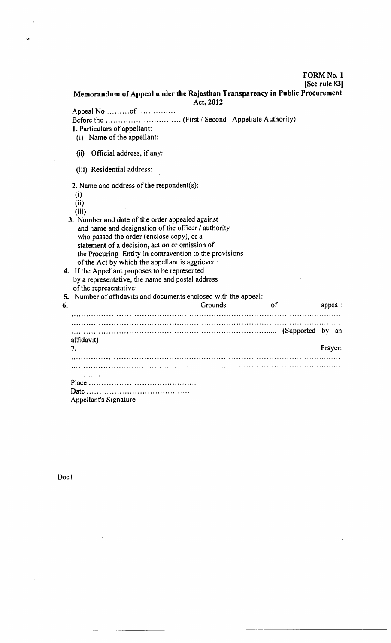## FORM No. I

[See rule <sup>831</sup>

Memorandum of Appeal under the Rajasthan Transparency in Public Procurement Act,2012

Appeal No ..........of ................ Before the ... (First / Second Appellate Authority)

l. Particulars of appellant:

(i) Name of the appellant

(ii) Official address, if any:

(iii) Residential address:

2. Name and address of the respondent(s):

(i)

 $\ddot{\phantom{0}}$ 

 $(ii)$ 

 $(iii)$ 3. Number and date of the order appealed against and name and designation of the officer / authority who passed the order (enclose copy), or a statement of a decision, action or omission of the Procuring Entity in contravention to the provisions of the Act by which the appellant is aggrieved: 4, lf the Appellant proposes to be represented by a representative, the name and postal address

of the representative:

5. Number of affidavits and documents enclosed with the appeal: 6. Grounds of appeal (Supported by an international continuous continuous continuous continuous continuous continuous continuous continuous continuous continuous continuous continuous continuous continuous continuous continuous continuous cont affidavit) 7Prayer: il; Date. Appellant's Signature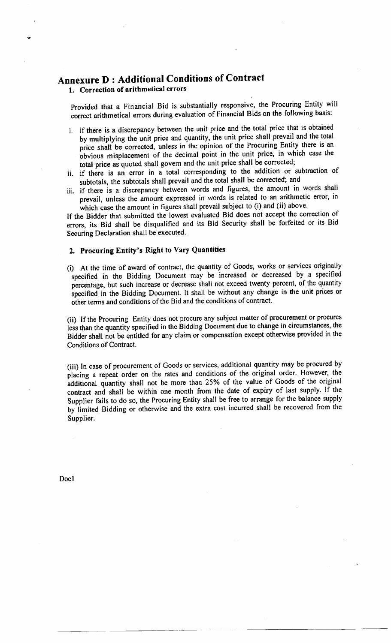# Annexure D: Additional Conditions of Contract

l. Correction of arithmetical errors

I

Provided that a Financial Bid is substantially responsive, the Procuring Entity will correct arithmetical errors during evaluation of Financial Bids on the following basis:

- i. if there is a discrepancy between the unit price and the total price that is obtained by multiplying the unit price and quantity, the unit price shall prevail and the total price shall be corrected, unless in the opinion of the Procuring Entity there is an obvious misplacement of the decimal point in the unit price, in which case the total price as quoted shall govern and the unit price shall be corrected;
- ii. if there is an error in a total corresponding to the addition or subtraction of subtotals, the subtotals shall prevail and the total shall be corrected; and
- iii. if there is a discrepancy between words and figures, the amount in words shall prevail, unless the amount expressed in words is related to an arithmetic error, in which case the amount in figures shall prevail subject to (i) and (ii) above.

If the Bidder that submitted the lowest evaluated Bid does not accept the correction of errors, its Bid shall be disqualified and its Bid Security shall be forfeited or its Bid Securing Declaration shall be executed.

## 2. Procuring Entity's Right to Vary Quantities

(i) At the time of award of contract, the quantity of Goods, works or services originally specified in the Bidding Document may be increased or decreased by a specified percentage, but such increase or decrease shalI not exceed twenty percent, of the quantity specified in the Bidding Document. It shalt be without any change in the unit prices or other terms and conditions of the Bid and the conditions of contract.

(ii) If the Procuring Entity does not procure any subject matter of procurement or procures less than the quantity specified in the Bidding Document due to change in circumstances, the Bidder shall not be entjtled for any claim or compensation except otherwise provided in the Conditions of Contract.

(iii) In case of procurement of Goods or services, additional quantity may be procured by placing a repeat order on the rates and conditions of the original order. However, the additional quantity shall not be more than 25% of the value of Goods of the original contract and shali be within one month from the date of expiry of last supply. If the Supplier fails to do so, the Procuring Entity shall be free to arrange for the balance supply by'limited Bidding or otherwise and the extra cost incurred shall be recovered from the Supplier.